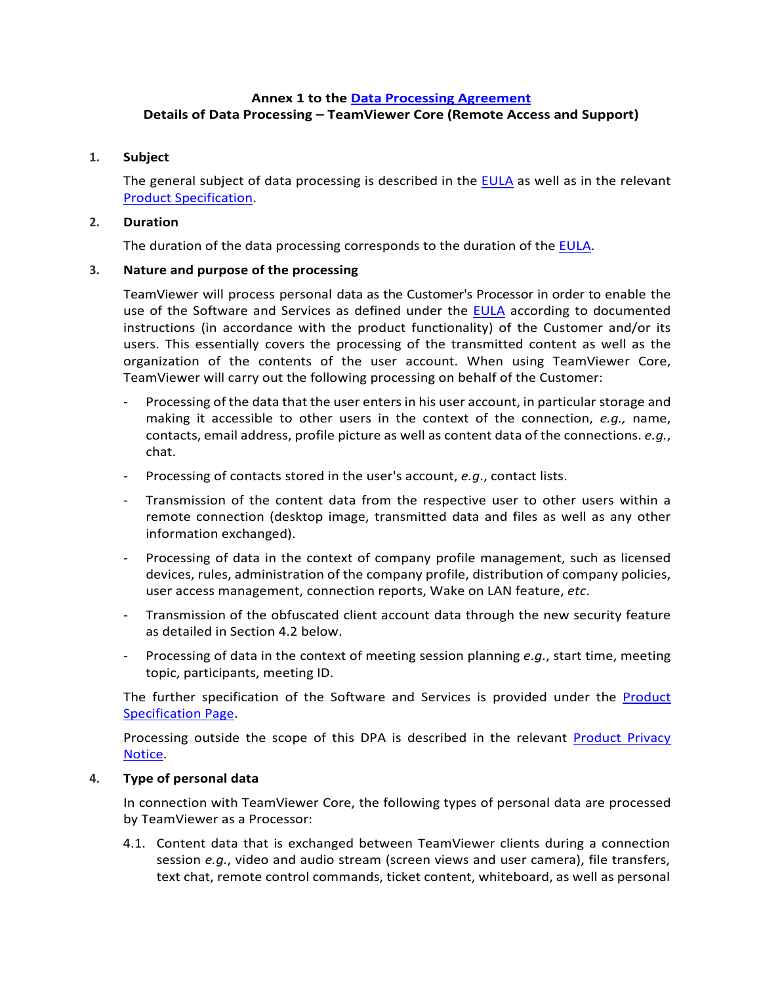# **Annex 1 to the [Data Processing Agreement](https://www.teamviewer.com/en/eula/#dpa) Details of Data Processing – TeamViewer Core (Remote Access and Support)**

### **1. Subject**

The general subject of data processing is described in the [EULA](https://www.teamviewer.com/en/eula/#eula) as well as in the relevant [Product Specification.](https://www.teamviewer.com/en/product-descriptions/)

### **2. Duration**

The duration of the data processing corresponds to the duration of the [EULA.](https://www.teamviewer.com/en/eula/)

# **3. Nature and purpose of the processing**

TeamViewer will process personal data as the Customer's Processor in order to enable the use of the Software and Services as defined under the [EULA](https://www.teamviewer.com/en/eula/) according to documented instructions (in accordance with the product functionality) of the Customer and/or its users. This essentially covers the processing of the transmitted content as well as the organization of the contents of the user account. When using TeamViewer Core, TeamViewer will carry out the following processing on behalf of the Customer:

- Processing of the data that the user enters in his user account, in particular storage and making it accessible to other users in the context of the connection, *e.g.,* name, contacts, email address, profile picture as well as content data of the connections. *e.g.*, chat.
- Processing of contacts stored in the user's account, *e.g*., contact lists.
- Transmission of the content data from the respective user to other users within a remote connection (desktop image, transmitted data and files as well as any other information exchanged).
- Processing of data in the context of company profile management, such as licensed devices, rules, administration of the company profile, distribution of company policies, user access management, connection reports, Wake on LAN feature, *etc*.
- Transmission of the obfuscated client account data through the new security feature as detailed in Section 4.2 below.
- Processing of data in the context of meeting session planning *e.g.*, start time, meeting topic, participants, meeting ID.

The further specification of the Software and Services is provided under the **Product** [Specification Page.](https://www.teamviewer.com/en/product-descriptions/)

Processing outside the scope of this DPA is described in the relevant [Product Privacy](https://www.teamviewer.com/en/privacy-policy/)  [Notice.](https://www.teamviewer.com/en/privacy-policy/)

#### **4. Type of personal data**

In connection with TeamViewer Core, the following types of personal data are processed by TeamViewer as a Processor:

4.1. Content data that is exchanged between TeamViewer clients during a connection session *e.g.*, video and audio stream (screen views and user camera), file transfers, text chat, remote control commands, ticket content, whiteboard, as well as personal